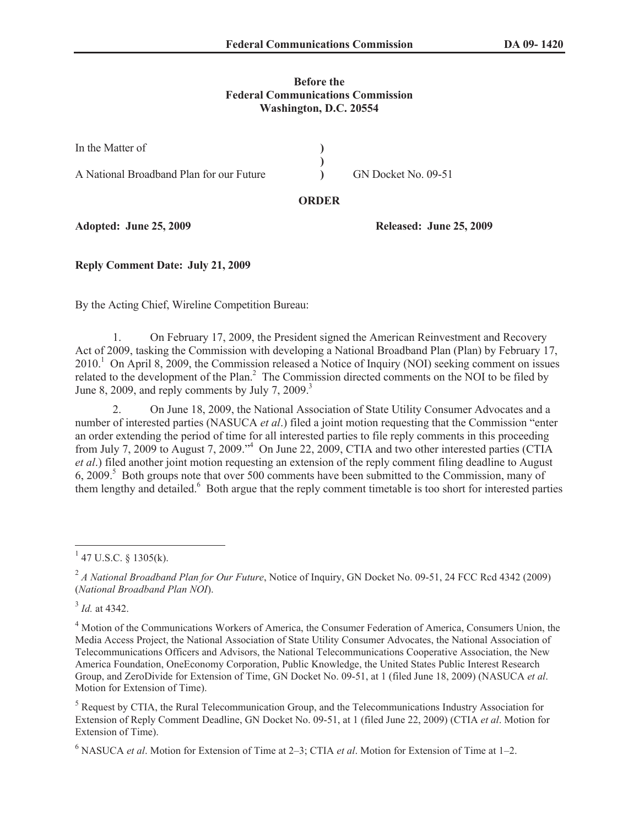## **Before the Federal Communications Commission Washington, D.C. 20554**

| In the Matter of                         |                     |
|------------------------------------------|---------------------|
|                                          |                     |
| A National Broadband Plan for our Future | GN Docket No. 09-51 |

## **ORDER**

**Adopted: June 25, 2009 Released: June 25, 2009**

**Reply Comment Date: July 21, 2009**

By the Acting Chief, Wireline Competition Bureau:

1. On February 17, 2009, the President signed the American Reinvestment and Recovery Act of 2009, tasking the Commission with developing a National Broadband Plan (Plan) by February 17,  $2010<sup>1</sup>$  On April 8, 2009, the Commission released a Notice of Inquiry (NOI) seeking comment on issues related to the development of the Plan.<sup>2</sup> The Commission directed comments on the NOI to be filed by June 8, 2009, and reply comments by July 7, 2009.<sup>3</sup>

2. On June 18, 2009, the National Association of State Utility Consumer Advocates and a number of interested parties (NASUCA *et al*.) filed a joint motion requesting that the Commission "enter an order extending the period of time for all interested parties to file reply comments in this proceeding from July 7, 2009 to August 7, 2009.<sup>4</sup> On June 22, 2009, CTIA and two other interested parties (CTIA *et al*.) filed another joint motion requesting an extension of the reply comment filing deadline to August 6, 2009.<sup>5</sup> Both groups note that over 500 comments have been submitted to the Commission, many of them lengthy and detailed.<sup>6</sup> Both argue that the reply comment timetable is too short for interested parties

3 *Id.* at 4342.

<sup>6</sup> NASUCA *et al*. Motion for Extension of Time at 2–3; CTIA *et al*. Motion for Extension of Time at 1–2.

 $1$  47 U.S.C. § 1305(k).

<sup>2</sup> *A National Broadband Plan for Our Future*, Notice of Inquiry, GN Docket No. 09-51, 24 FCC Rcd 4342 (2009) (*National Broadband Plan NOI*).

<sup>&</sup>lt;sup>4</sup> Motion of the Communications Workers of America, the Consumer Federation of America, Consumers Union, the Media Access Project, the National Association of State Utility Consumer Advocates, the National Association of Telecommunications Officers and Advisors, the National Telecommunications Cooperative Association, the New America Foundation, OneEconomy Corporation, Public Knowledge, the United States Public Interest Research Group, and ZeroDivide for Extension of Time, GN Docket No. 09-51, at 1 (filed June 18, 2009) (NASUCA *et al*. Motion for Extension of Time).

<sup>&</sup>lt;sup>5</sup> Request by CTIA, the Rural Telecommunication Group, and the Telecommunications Industry Association for Extension of Reply Comment Deadline, GN Docket No. 09-51, at 1 (filed June 22, 2009) (CTIA *et al*. Motion for Extension of Time).